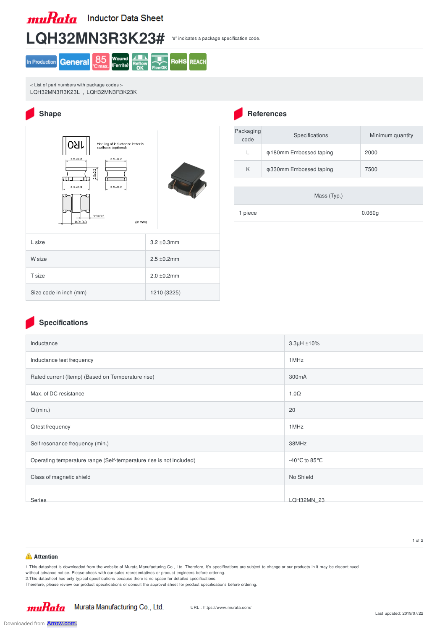**muRata** Inductor Data Sheet





< List of part numbers with package codes > LQH32MN3R3K23L , LQH32MN3R3K23K



## **Shape References**

| Packaging<br>code | Specifications                                | Minimum quantity |
|-------------------|-----------------------------------------------|------------------|
|                   | <b><math>\phi</math>180mm Embossed taping</b> | 2000             |
| K                 | φ330mm Embossed taping                        | 7500             |

|         | Mass (Typ.) |        |
|---------|-------------|--------|
| 1 piece |             | 0.060g |

## **Specifications**

| Inductance                                                          | $3.3\mu H \pm 10\%$                 |
|---------------------------------------------------------------------|-------------------------------------|
| Inductance test frequency                                           | 1MHz                                |
| Rated current (Itemp) (Based on Temperature rise)                   | 300mA                               |
| Max. of DC resistance                                               | $1.0\Omega$                         |
| $Q$ (min.)                                                          | 20                                  |
| Q test frequency                                                    | 1MHz                                |
| Self resonance frequency (min.)                                     | 38MHz                               |
| Operating temperature range (Self-temperature rise is not included) | -40 $^{\circ}$ C to 85 $^{\circ}$ C |
| Class of magnetic shield                                            | No Shield                           |
| Series                                                              | <b>LQH32MN 23</b>                   |

#### **Attention**

1.This datasheet is downloaded from the website of Murata Manufacturing Co., Ltd. Therefore, it's specifications are subject to change or our products in it may be discontinued

without advance notice. Please check with our sales representatives or product engineers before ordering.

2.This datasheet has only typical specifications because there is no space for detailed specifications.

Therefore, please review our product specifications or consult the approval sheet for product specifications before ordering.



Downloaded from **[Arrow.com.](http://www.arrow.com)**